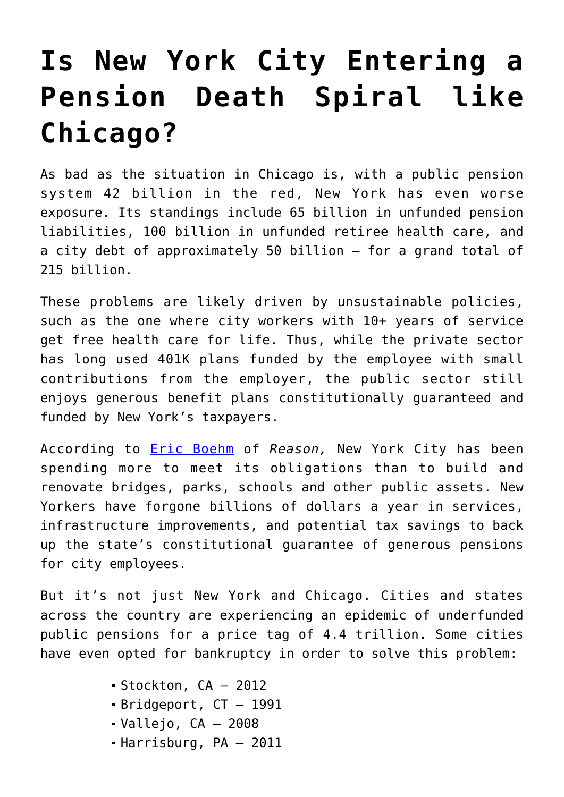## **[Is New York City Entering a](https://intellectualtakeout.org/2018/12/is-new-york-city-entering-a-pension-death-spiral-like-chicago/) [Pension Death Spiral like](https://intellectualtakeout.org/2018/12/is-new-york-city-entering-a-pension-death-spiral-like-chicago/) [Chicago?](https://intellectualtakeout.org/2018/12/is-new-york-city-entering-a-pension-death-spiral-like-chicago/)**

As bad as the situation in Chicago is, with a public pension system 42 billion in the red, New York has even worse exposure. Its standings include 65 billion in unfunded pension liabilities, 100 billion in unfunded retiree health care, and a city debt of approximately 50 billion – for a grand total of 215 billion.

These problems are likely driven by unsustainable policies, such as the one where city workers with 10+ years of service get free health care for life. Thus, while the private sector has long used 401K plans funded by the employee with small contributions from the employer, the public sector still enjoys generous benefit plans constitutionally guaranteed and funded by New York's taxpayers.

According to [Eric Boehm](https://reason.com/blog/2017/06/21/new-york-city-pension-crisis-report) of *Reason,* New York City has been spending more to meet its obligations than to build and renovate bridges, parks, schools and other public assets. New Yorkers have forgone billions of dollars a year in services, infrastructure improvements, and potential tax savings to back up the state's constitutional guarantee of generous pensions for city employees.

But it's not just New York and Chicago. Cities and states across the country are experiencing an epidemic of underfunded public pensions for a price tag of 4.4 trillion. Some cities have even opted for bankruptcy in order to solve this problem:

- Stockton, CA 2012
- Bridgeport, CT 1991
- $\blacksquare$  Vallejo, CA 2008
- Harrisburg, PA 2011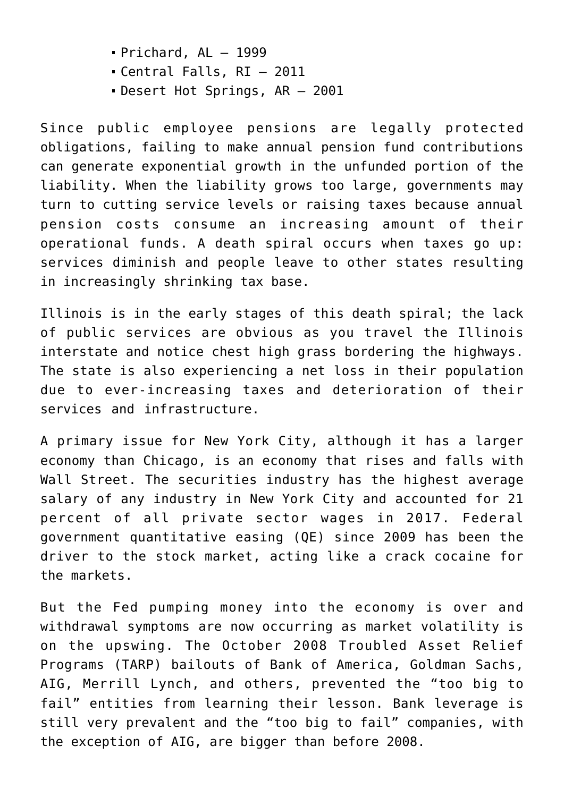- $\blacksquare$  Prichard, AL  $-$  1999
- Central Falls, RI 2011
- Desert Hot Springs, AR 2001

Since public employee pensions are legally protected obligations, failing to make annual pension fund contributions can generate exponential growth in the unfunded portion of the liability. When the liability grows too large, governments may turn to cutting service levels or raising taxes because annual pension costs consume an increasing amount of their operational funds. A death spiral occurs when taxes go up: services diminish and people leave to other states resulting in increasingly shrinking tax base.

Illinois is in the early stages of this death spiral; the lack of public services are obvious as you travel the Illinois interstate and notice chest high grass bordering the highways. The state is also experiencing a net loss in their population due to ever-increasing taxes and deterioration of their services and infrastructure.

A primary issue for New York City, although it has a larger economy than Chicago, is an economy that rises and falls with Wall Street. The securities industry has the highest average salary of any industry in New York City and accounted for 21 percent of all private sector wages in 2017. Federal government quantitative easing (QE) since 2009 has been the driver to the stock market, acting like a crack cocaine for the markets.

But the Fed pumping money into the economy is over and withdrawal symptoms are now occurring as market volatility is on the upswing. The October 2008 Troubled Asset Relief Programs (TARP) bailouts of Bank of America, Goldman Sachs, AIG, Merrill Lynch, and others, prevented the "too big to fail" entities from learning their lesson. Bank leverage is still very prevalent and the "too big to fail" companies, with the exception of AIG, are bigger than before 2008.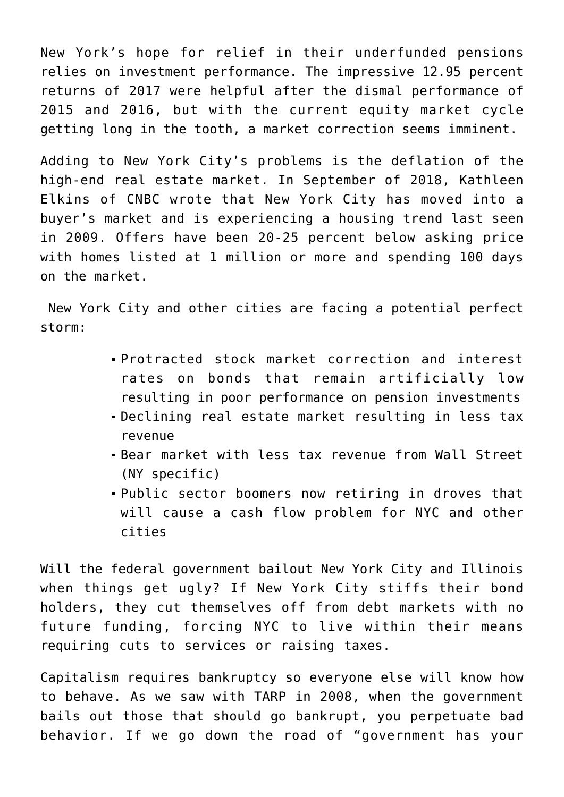New York's hope for relief in their underfunded pensions relies on investment performance. The impressive 12.95 percent returns of 2017 were helpful after the dismal performance of 2015 and 2016, but with the current equity market cycle getting long in the tooth, a market correction seems imminent.

Adding to New York City's problems is the deflation of the high-end real estate market. In September of 2018, Kathleen Elkins of CNBC wrote that New York City has moved into a buyer's market and is experiencing a housing trend last seen in 2009. Offers have been 20-25 percent below asking price with homes listed at 1 million or more and spending 100 days on the market.

 New York City and other cities are facing a potential perfect storm:

- Protracted stock market correction and interest rates on bonds that remain artificially low resulting in poor performance on pension investments
- Declining real estate market resulting in less tax revenue
- Bear market with less tax revenue from Wall Street (NY specific)
- Public sector boomers now retiring in droves that will cause a cash flow problem for NYC and other cities

Will the federal government bailout New York City and Illinois when things get ugly? If New York City stiffs their bond holders, they cut themselves off from debt markets with no future funding, forcing NYC to live within their means requiring cuts to services or raising taxes.

Capitalism requires bankruptcy so everyone else will know how to behave. As we saw with TARP in 2008, when the government bails out those that should go bankrupt, you perpetuate bad behavior. If we go down the road of "government has your